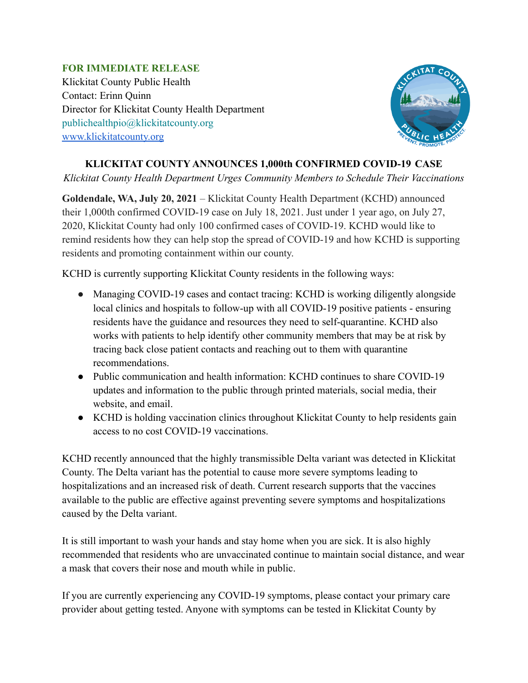## **FOR IMMEDIATE RELEASE**

Klickitat County Public Health Contact: Erinn Quinn Director for Klickitat County Health Department publichealthpio@klickitatcounty.org [www.klickitatcounty.org](http://www.klickitatcounty.org)



## **KLICKITAT COUNTY ANNOUNCES 1,000th CONFIRMED COVID-19 CASE**

*Klickitat County Health Department Urges Community Members to Schedule Their Vaccinations*

**Goldendale, WA, July 20, 2021** – Klickitat County Health Department (KCHD) announced their 1,000th confirmed COVID-19 case on July 18, 2021. Just under 1 year ago, on July 27, 2020, Klickitat County had only 100 confirmed cases of COVID-19. KCHD would like to remind residents how they can help stop the spread of COVID-19 and how KCHD is supporting residents and promoting containment within our county.

KCHD is currently supporting Klickitat County residents in the following ways:

- Managing COVID-19 cases and contact tracing: KCHD is working diligently alongside local clinics and hospitals to follow-up with all COVID-19 positive patients - ensuring residents have the guidance and resources they need to self-quarantine. KCHD also works with patients to help identify other community members that may be at risk by tracing back close patient contacts and reaching out to them with quarantine recommendations.
- Public communication and health information: KCHD continues to share COVID-19 updates and information to the public through printed materials, social media, their website, and email.
- KCHD is holding vaccination clinics throughout Klickitat County to help residents gain access to no cost COVID-19 vaccinations.

KCHD recently announced that the highly transmissible Delta variant was detected in Klickitat County. The Delta variant has the potential to cause more severe symptoms leading to hospitalizations and an increased risk of death. Current research supports that the vaccines available to the public are effective against preventing severe symptoms and hospitalizations caused by the Delta variant.

It is still important to wash your hands and stay home when you are sick. It is also highly recommended that residents who are unvaccinated continue to maintain social distance, and wear a mask that covers their nose and mouth while in public.

If you are currently experiencing any COVID-19 symptoms, please contact your primary care provider about getting tested. Anyone with symptoms can be tested in Klickitat County by